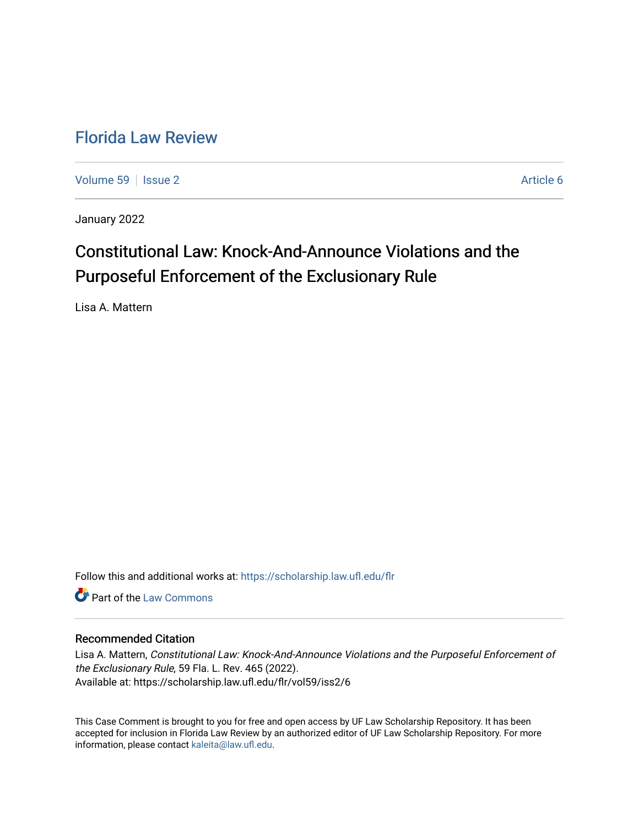## [Florida Law Review](https://scholarship.law.ufl.edu/flr)

[Volume 59](https://scholarship.law.ufl.edu/flr/vol59) | [Issue 2](https://scholarship.law.ufl.edu/flr/vol59/iss2) Article 6

January 2022

# Constitutional Law: Knock-And-Announce Violations and the Purposeful Enforcement of the Exclusionary Rule

Lisa A. Mattern

Follow this and additional works at: [https://scholarship.law.ufl.edu/flr](https://scholarship.law.ufl.edu/flr?utm_source=scholarship.law.ufl.edu%2Fflr%2Fvol59%2Fiss2%2F6&utm_medium=PDF&utm_campaign=PDFCoverPages)

**C** Part of the [Law Commons](http://network.bepress.com/hgg/discipline/578?utm_source=scholarship.law.ufl.edu%2Fflr%2Fvol59%2Fiss2%2F6&utm_medium=PDF&utm_campaign=PDFCoverPages)

#### Recommended Citation

Lisa A. Mattern, Constitutional Law: Knock-And-Announce Violations and the Purposeful Enforcement of the Exclusionary Rule, 59 Fla. L. Rev. 465 (2022). Available at: https://scholarship.law.ufl.edu/flr/vol59/iss2/6

This Case Comment is brought to you for free and open access by UF Law Scholarship Repository. It has been accepted for inclusion in Florida Law Review by an authorized editor of UF Law Scholarship Repository. For more information, please contact [kaleita@law.ufl.edu.](mailto:kaleita@law.ufl.edu)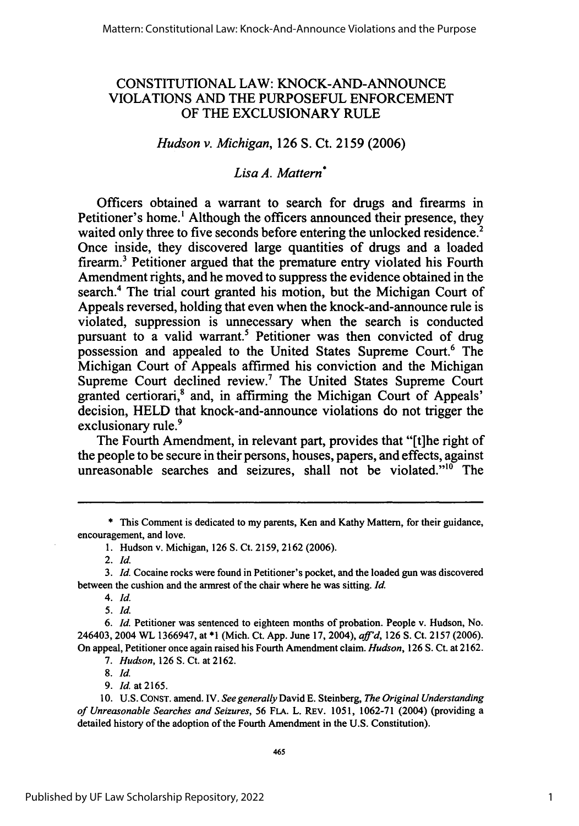## CONSTITUTIONAL LAW: KNOCK-AND-ANNOUNCE VIOLATIONS AND THE PURPOSEFUL ENFORCEMENT OF THE EXCLUSIONARY RULE

## *Hudson v. Michigan,* 126 **S.** Ct. 2159 (2006)

## *Lisa A. Mattern\**

Officers obtained a warrant to search for drugs and firearms in Petitioner's home.' Although the officers announced their presence, they waited only three to five seconds before entering the unlocked residence.<sup>2</sup> Once inside, they discovered large quantities of drugs and a loaded firearm.3 Petitioner argued that the premature entry violated his Fourth Amendment rights, and he moved to suppress the evidence obtained in the search.' The trial court granted his motion, but the Michigan Court of Appeals reversed, holding that even when the knock-and-announce rule is violated, suppression is unnecessary when the search is conducted pursuant to a valid warrant.<sup>5</sup> Petitioner was then convicted of drug possession and appealed to the United States Supreme Court.<sup>6</sup> The Michigan Court of Appeals affirmed his conviction and the Michigan Supreme Court declined review.7 The United States Supreme Court granted certiorari,<sup>8</sup> and, in affirming the Michigan Court of Appeals' decision, HELD that knock-and-announce violations do not trigger the exclusionary rule.<sup>9</sup>

The Fourth Amendment, in relevant part, provides that "[t]he right of the people to be secure in their persons, houses, papers, and effects, against unreasonable searches and seizures, shall not be violated."<sup>10</sup> The

\* This Comment is dedicated to my parents, Ken and Kathy Mattern, for their guidance, encouragement, and love.

1. Hudson v. Michigan, 126 S. Ct. 2159, 2162 (2006).

*2.* Id.

*4.* Id.

*5.* Id.

*6.* Id. Petitioner was sentenced to eighteen months of probation. People v. Hudson, No. 246403, 2004 WL 1366947, at **\*1** (Mich. Ct. App. June 17, 2004), *affid,* 126 **S.** Ct. 2157 (2006). On appeal, Petitioner once again raised his Fourth Amendment claim. *Hudson,* 126 S. Ct. at 2162.

*7. Hudson,* 126 S. Ct. at 2162.

*8.* Id.

9. *Id.* at 2165.

**10. U.S.** CONST. amend. IV. *See generally* David E. Steinberg, *The Original Understanding of Unreasonable Searches and Seizures,* 56 FLA. L. REv. 1051, 1062-71 (2004) (providing a detailed history of the adoption of the Fourth Amendment in the U.S. Constitution).

*<sup>3.</sup>* Id. Cocaine rocks were found in Petitioner's pocket, and the loaded gun was discovered between the cushion and the armrest of the chair where he was sitting. Id.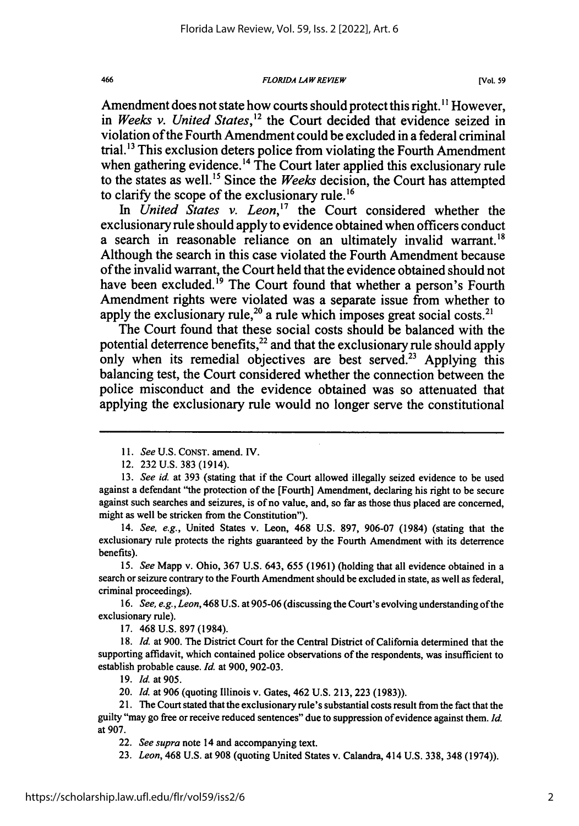*FLORIDA LAWREVIEW*

Amendment does not state how courts should protect this right. **"** However, in *Weeks v. United States*,<sup>12</sup> the Court decided that evidence seized in violation of the Fourth Amendment could be excluded in a federal criminal trial.'3 This exclusion deters police from violating the Fourth Amendment when gathering evidence.<sup>14</sup> The Court later applied this exclusionary rule to the states as well.<sup>15</sup> Since the *Weeks* decision, the Court has attempted to clarify the scope of the exclusionary rule.<sup>16</sup>

*In United States v. Leon,'7* the Court considered whether the exclusionary rule should apply to evidence obtained when officers conduct a search in reasonable reliance on an ultimately invalid warrant.<sup>18</sup> Although the search in this case violated the Fourth Amendment because of the invalid warrant, the Court held that the evidence obtained should not have been excluded.<sup>19</sup> The Court found that whether a person's Fourth Amendment rights were violated was a separate issue from whether to apply the exclusionary rule,<sup>20</sup> a rule which imposes great social costs.<sup>2</sup>

The Court found that these social costs should be balanced with the potential deterrence benefits,  $^{22}$  and that the exclusionary rule should apply only when its remedial objectives are best served.<sup>23</sup> Applying this balancing test, the Court considered whether the connection between the police misconduct and the evidence obtained was so attenuated that applying the exclusionary rule would no longer serve the constitutional

15. *See* Mapp v. Ohio, 367 U.S. 643, 655 (1961) (holding that all evidence obtained in a search or seizure contrary to the Fourth Amendment should be excluded in state, as well as federal, criminal proceedings).

*16. See, e.g., Leon,* 468 U.S. at 905-06 (discussing the Court's evolving understanding ofthe exclusionary rule).

17. 468 U.S. 897 (1984).

18. *Id.* at 900. The District Court for the Central District of California determined that the supporting affidavit, which contained police observations of the respondents, was insufficient to establish probable cause. *Id.* at 900, 902-03.

19. *Id.* at 905.

20. *Id.* at 906 (quoting Illinois v. Gates, 462 U.S. 213, 223 (1983)).

23. *Leon,* 468 U.S. at **908** (quoting United States v. Calandra, 414 U.S. **338,** 348 (1974)).

*<sup>11.</sup> See* U.S. CONST. amend. IV.

<sup>12. 232</sup> U.S. 383 (1914).

<sup>13.</sup> *See id.* at 393 (stating that if the Court allowed illegally seized evidence to be used against a defendant "the protection of the [Fourth] Amendment, declaring his right to be secure against such searches and seizures, is of no value, and, so far as those thus placed are concerned, might as well be stricken from the Constitution").

<sup>14.</sup> *See, e.g.,* United States v. Leon, 468 U.S. 897, 906-07 (1984) (stating that the exclusionary rule protects the rights guaranteed **by** the Fourth Amendment with its deterrence benefits).

<sup>21.</sup> The Court stated that the exclusionary rule's substantial costs result from the fact that the guilty "may go free or receive reduced sentences" due to suppression of evidence against them. *Id.* at 907.

<sup>22.</sup> *See supra* note 14 and accompanying text.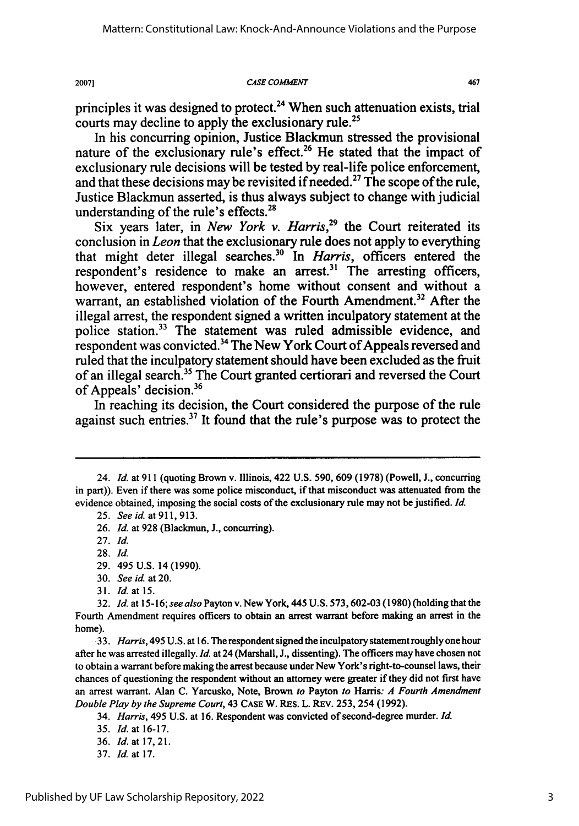**CASE COMMENT**

467

principles it was designed to protect.<sup>24</sup> When such attenuation exists, trial courts may decline to apply the exclusionary rule.<sup>25</sup>

In his concurring opinion, Justice Blackmun stressed the provisional nature of the exclusionary rule's effect.<sup>26</sup> He stated that the impact of exclusionary rule decisions will be tested **by** real-life police enforcement, and that these decisions may be revisited if needed.<sup>27</sup> The scope of the rule, Justice Blackmun asserted, is thus always subject to change with judicial understanding of the rule's effects. $^{2i}$ 

Six years later, in *New York v. Harris*<sup>29</sup> the Court reiterated its conclusion in *Leon* that the exclusionary rule does not apply to everything that might deter illegal searches.30 In *Harris,* officers entered the respondent's residence to make an arrest.<sup>31</sup> The arresting officers, however, entered respondent's home without consent and without a warrant, an established violation of the Fourth Amendment.<sup>32</sup> After the illegal arrest, the respondent signed a written inculpatory statement at the police station.<sup>33</sup> The statement was ruled admissible evidence, and respondent was convicted. 34 The New York Court of Appeals reversed and ruled that the inculpatory statement should have been excluded as the fruit of an illegal search.<sup>35</sup> The Court granted certiorari and reversed the Court of Appeals' decision.<sup>36</sup>

In reaching its decision, the Court considered the purpose of the rule against such entries.37 It found that the rule's purpose was to protect the

31. *Id.* at 15.

20071

<sup>24.</sup> *Id.* at 911 (quoting Brown v. Illinois, 422 U.S. 590, 609 (1978) (Powell, J., concurring in part)). Even if there was some police misconduct, if that misconduct was attenuated from the evidence obtained, imposing the social costs of the exclusionary rule may not be justified. *Id.*

<sup>25.</sup> *Seeid.* at911,913.

<sup>26.</sup> *Id.* at **928** (Blackmun, **J.,** concurring).

<sup>27.</sup> *Id.*

<sup>28.</sup> *Id.*

<sup>29. 495</sup> U.S. 14 (1990).

<sup>30.</sup> *See id.* at 20.

**<sup>32.</sup>** *Id.* at 15-16; *see also* Payton v. New York, 445 U.S. **573,602-03** (1980) (holding that the Fourth Amendment requires officers to obtain an arrest warrant before making an arrest in the home).

*<sup>.33.</sup> Harris,* 495 **U.S.** at **16.** The respondent signed the inculpatory statement roughly one hour after he was arrested illegally. *Id.* at 24 (Marshall, **J.,** dissenting). The officers may have chosen not to obtain a warrant before making the arrest because under New York's right-to-counsel laws, their chances of questioning the respondent without an attorney were greater if they did not first have an arrest warrant. Alan **C.** Yarcusko, Note, Brown *to* Payton *to* Harris: *A Fourth Amendment Double Play by the Supreme Court,* 43 **CASE** W. RES. L. REv. **253,** 254 **(1992).**

<sup>34.</sup> *Harris,* 495 **U.S.** at **16.** Respondent was convicted of second-degree murder. *Id.*

**<sup>35.</sup>** *Id.* at **16-17.**

**<sup>36.</sup>** *Id.* at **17, 21.**

**<sup>37.</sup>** *Id.* at **17.**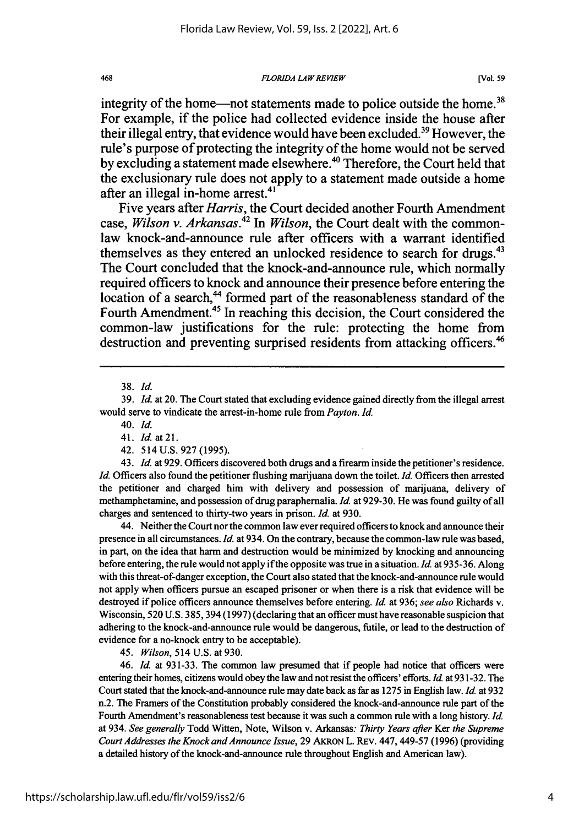*FLORIDA LAWREVIEW*

integrity of the home—not statements made to police outside the home.<sup>38</sup> For example, if the police had collected evidence inside the house after their illegal entry, that evidence would have been excluded.<sup>39</sup> However, the rule's purpose of protecting the integrity of the home would not be served by excluding a statement made elsewhere.<sup>40</sup> Therefore, the Court held that the exclusionary rule does not apply to a statement made outside a home after an illegal in-home arrest.<sup>41</sup>

Five years after *Harris,* the Court decided another Fourth Amendment case, *Wilson v. Arkansas.42 In Wilson,* the Court dealt with the commonlaw knock-and-announce rule after officers with a warrant identified themselves as they entered an unlocked residence to search for drugs.<sup>43</sup> The Court concluded that the knock-and-announce rule, which normally required officers to knock and announce their presence before entering the location of a search,<sup>44</sup> formed part of the reasonableness standard of the Fourth Amendment.<sup>45</sup> In reaching this decision, the Court considered the common-law justifications for the rule: protecting the home from destruction and preventing surprised residents from attacking officers.<sup>46</sup>

43. *Id.* at 929. Officers discovered both drugs and a firearm inside the petitioner's residence. *Id.* Officers also found the petitioner flushing marijuana down the toilet. *Id.* Officers then arrested the petitioner and charged him with delivery and possession of marijuana, delivery of methamphetamine, and possession of drug paraphernalia. *Id.* at 929-30. He was found guilty of all charges and sentenced to thirty-two years in prison. *Id.* at 930.

44. Neither the Court nor the common law ever required officers to knock and announce their presence in all circumstances. *Id.* at 934. On the contrary, because the common-law rule was based, in part, on the idea that harm and destruction would be minimized by knocking and announcing before entering, the rule would not apply if the opposite was true in a situation. *Id.* at 935-36. Along with this threat-of-danger exception, the Court also stated that the knock-and-announce rule would not apply when officers pursue an escaped prisoner or when there is a risk that evidence will be destroyed if police officers announce themselves before entering. *Id.* at 936; *see also* Richards v. Wisconsin, 520 U.S. 385,394 (1997) (declaring that an officer must have reasonable suspicion that adhering to the knock-and-announce rule would be dangerous, futile, or lead to the destruction of evidence for a no-knock entry to be acceptable).

45. *Wilson,* 514 U.S. at 930.

46. *Id.* at 931-33. The common law presumed that if people had notice that officers were entering their homes, citizens would obey the law and not resist the officers' efforts. *Id.* at 931-32. The Court stated that the knock-and-announce rule may date back as far as 1275 in English law. *Id.* at 932 n.2. The Framers of the Constitution probably considered the knock-and-announce rule part of the Fourth Amendment's reasonableness test because it was such a common rule with a long history. *Id.* at 934. *See* generally Todd Witten, Note, Wilson v. Arkansas: *Thirty Years after Ker the Supreme Court Addresses the Knock and Announce Issue,* **29** AKRON L. REV. 447,449-57 **(1996)** (providing a detailed history of the knock-and-announce rule throughout English and American law).

<sup>38.</sup> *Id.*

<sup>39.</sup> *Id.* at 20. The Court stated that excluding evidence gained directly from the illegal arrest would serve to vindicate the arrest-in-home rule from *Payton. Id.*

<sup>40.</sup> Id.

<sup>41.</sup> *Id.* at **21.**

<sup>42. 514</sup> U.S. 927 (1995).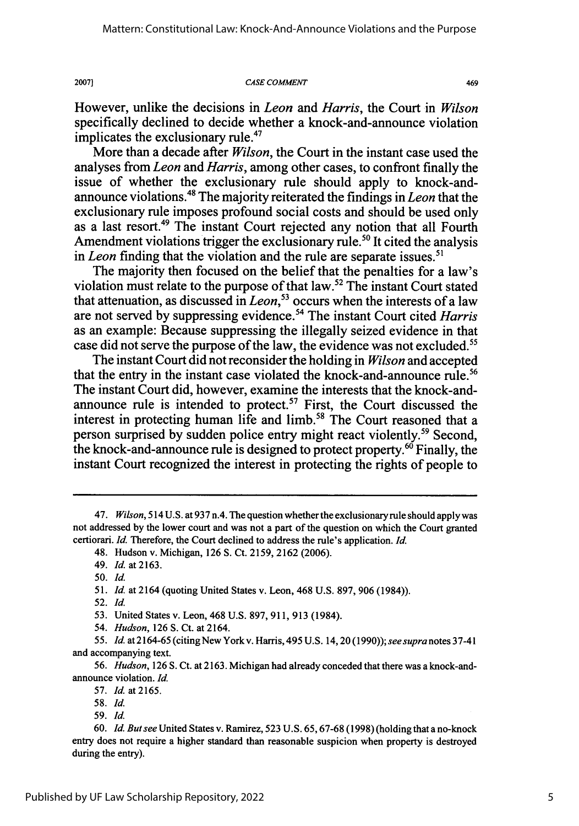*CASE COMMENT*

469

However, unlike the decisions in *Leon* and *Harris,* the Court in *Wilson* specifically declined to decide whether a knock-and-announce violation implicates the exclusionary rule.<sup>47</sup>

More than a decade after *Wilson,* the Court in the instant case used the analyses from *Leon and Harris,* among other cases, to confront finally the issue of whether the exclusionary rule should apply to knock-andannounce violations.48 The majority reiterated the findings in *Leon* that the exclusionary rule imposes profound social costs and should be used only as a last resort.<sup>49</sup> The instant Court rejected any notion that all Fourth Amendment violations trigger the exclusionary rule.<sup>50</sup> It cited the analysis in *Leon* finding that the violation and the rule are separate issues.<sup>51</sup>

The majority then focused on the belief that the penalties for a law's violation must relate to the purpose of that law.52 The instant Court stated that attenuation, as discussed in *Leon,53* occurs when the interests of a law are not served by suppressing evidence.54 The instant Court cited *Harris* as an example: Because suppressing the illegally seized evidence in that case did not serve the purpose of the law, the evidence was not excluded.<sup>55</sup>

The instant Court did not reconsider the holding in *Wilson* and accepted that the entry in the instant case violated the knock-and-announce rule.<sup>56</sup> The instant Court did, however, examine the interests that the knock-andannounce rule is intended to protect.<sup>57</sup> First, the Court discussed the interest in protecting human life and limb.<sup>58</sup> The Court reasoned that a person surprised by sudden police entry might react violently.<sup>59</sup> Second, the knock-and-announce rule is designed to protect property.<sup>60</sup> Finally, the instant Court recognized the interest in protecting the rights of people to

**2007]**

52. *Id.*

*<sup>47.</sup> Wilson,* 514 U.S. at 937 n.4. The question whether the exclusionaryrule should applywas not addressed by the lower court and was not a part of the question on which the Court granted certiorari. *Id.* Therefore, the Court declined to address the rule's application. *Id.*

<sup>48.</sup> Hudson v. Michigan, 126 S. Ct. 2159, 2162 (2006).

<sup>49.</sup> *Id.* at 2163.

*<sup>50.</sup> Id.*

<sup>51.</sup> *Id.* at 2164 (quoting United States v. Leon, 468 U.S. 897, 906 (1984)).

<sup>53.</sup> United States v. Leon, 468 U.S. 897, 911, 913 (1984).

<sup>54.</sup> *Hudson,* 126 **S.** Ct. at 2164.

<sup>55.</sup> *Id.* at 2164-65 (citingNew York v. Harris, 495 U.S. 14,20(1990)); *seesupra* notes 37-41 and accompanying text.

<sup>56.</sup> *Hudson,* 126 S. Ct. at 2163. Michigan had already conceded that there was a knock-andannounce violation. *Id.*

<sup>57.</sup> *Id.* at2165.

<sup>58.</sup> *Id.*

<sup>59.</sup> Id.

<sup>60.</sup> *Id. But see* United States v. Ramirez, 523 U.S. 65, 67-68 (1998) (holding that a no-knock entry does not require a higher standard than reasonable suspicion when property is destroyed during the entry).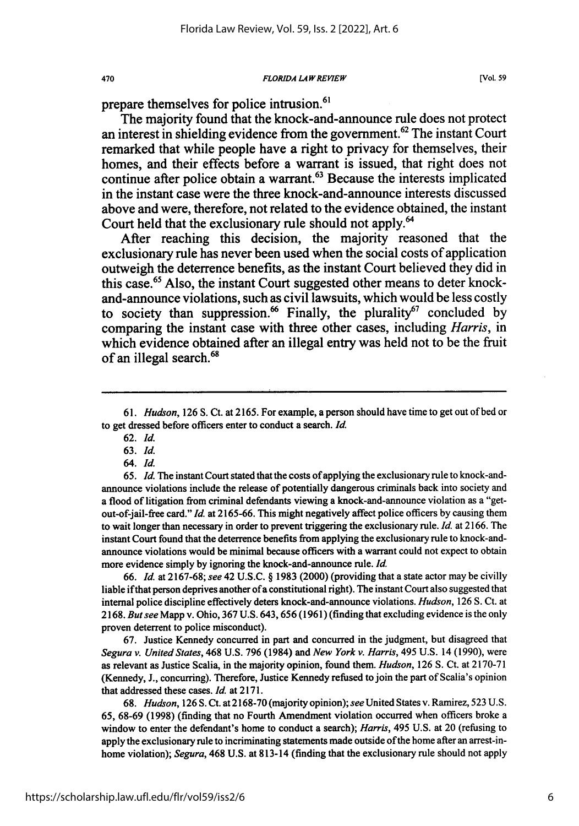*FLORIDA LA W REVIEW*

prepare themselves for police intrusion.<sup>61</sup>

The majority found that the knock-and-announce rule does not protect an interest in shielding evidence from the government.<sup>62</sup> The instant Court remarked that while people have a right to privacy for themselves, their homes, and their effects before a warrant is issued, that right does not continue after police obtain a warrant.<sup>63</sup> Because the interests implicated in the instant case were the three knock-and-announce interests discussed above and were, therefore, not related to the evidence obtained, the instant Court held that the exclusionary rule should not apply.<sup>64</sup>

After reaching this decision, the majority reasoned that the exclusionary rule has never been used when the social costs of application outweigh the deterrence benefits, as the instant Court believed they did in this case." Also, **the** instant Court suggested other means to deter knockand-announce violations, such as civil lawsuits, which would be less costly to society than suppression.<sup>66</sup> Finally, the plurality<sup>67</sup> concluded by comparing the instant case with three other cases, including *Harris,* in which evidence obtained after an illegal entry was held not to be the fruit of an illegal search.<sup>68</sup>

470

*65. Id.* The instant Court stated that the costs of applying the exclusionary rule to knock-andannounce violations include the release of potentially dangerous criminals back into society and a flood of litigation from criminal defendants viewing a knock-and-announce violation as a "getout-of-jail-free card." *Id.* at 2165-66. This might negatively affect police officers by causing them to wait longer than necessary in order to prevent triggering the exclusionary rule. *Id.* at 2166. The instant Court found that the deterrence benefits from applying the exclusionary rule to knock-andannounce violations would be minimal because officers with a warrant could not expect to obtain more evidence simply by ignoring the knock-and-announce rule. *Id.*

66. *Id.* at 2167-68; *see* 42 U.S.C. § 1983 (2000) (providing that a state actor may be civilly liable if that person deprives another of a constitutional right). The instant Court also suggested that internal police discipline effectively deters knock-and-announce violations. *Hudson,* 126 **S.** Ct. at 2168. *But see* Mapp v. Ohio, 367 U.S. 643, 656 (1961) (finding that excluding evidence is the only proven deterrent to police misconduct).

67. Justice Kennedy concurred in part and concurred in the judgment, but disagreed that *Segura v. United States,* 468 U.S. **796** (1984) and *New York v. Harris,* 495 U.S. 14 (1990), were as relevant as Justice Scalia, in the majority opinion, found them. *Hudson,* 126 S. Ct. at 2170-71 (Kennedy, **J.,** concurring). Therefore, Justice Kennedy refused to join the part of Scalia's opinion that addressed these cases. *Id.* at 2171.

68. *Hudson,* 126 S. Ct. at 2168-70 (majority opinion); *see* United States v. Ramirez, 523 U.S. **65,** 68-69 (1998) (finding that no Fourth Amendment violation occurred when officers broke a window to enter the defendant's home to conduct a search); *Harris,* 495 U.S. at 20 (refusing to apply the exclusionary rule to incriminating statements made outside of the home after an arrest-inhome violation); *Segura,* 468 U.S. at 813-14 (finding that the exclusionary rule should not apply

<sup>61.</sup> *Hudson,* 126 S. Ct. at 2165. For example, a person should have time to get out of bed or to get dressed before officers enter to conduct a search. *Id.*

<sup>62.</sup> *Id.*

<sup>63.</sup> *Id.*

<sup>64.</sup> *Id.*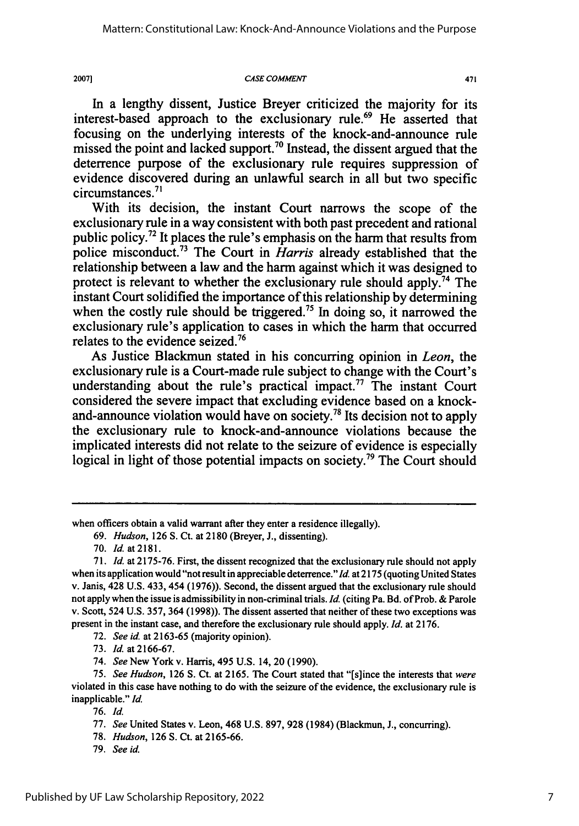2007]

#### *CASE COMMENT*

In a lengthy dissent, Justice Breyer criticized the majority for its interest-based approach to the exclusionary rule.<sup>69</sup> He asserted that focusing on the underlying interests of the knock-and-announce rule missed the point and lacked support.<sup>70</sup> Instead, the dissent argued that the deterrence purpose of the exclusionary rule requires suppression of evidence discovered during an unlawful search in all but two specific circumstances.<sup>71</sup>

With its decision, the instant Court narrows the scope of the exclusionary rule in a way consistent with both past precedent and rational public policy. 2 It places the rule's emphasis on the harm that results from police misconduct.73 The Court in *Harris* already established that the relationship between a law and the harm against which it was designed to protect is relevant to whether the exclusionary rule should apply.<sup>74</sup> The instant Court solidified the importance of this relationship by determining when the costly rule should be triggered.<sup>75</sup> In doing so, it narrowed the exclusionary rule's application to cases in which the harm that occurred relates to the evidence seized.76

As Justice Blackmun stated in his concurring opinion in *Leon,* the exclusionary rule is a Court-made rule subject to change with the Court's understanding about the rule's practical impact.<sup>77</sup> The instant Court considered the severe impact that excluding evidence based on a knockand-announce violation would have on society.<sup>78</sup> Its decision not to apply the exclusionary rule to knock-and-announce violations because the implicated interests did not relate to the seizure of evidence is especially logical in light of those potential impacts on society.<sup>79</sup> The Court should

72. *See id.* at 2163-65 (majority opinion).

73. *Id.* at 2166-67.

74. *See* New York v. Harris, 495 U.S. 14, 20 (1990).

75. *See Hudson,* 126 **S.** Ct. at 2165. The Court stated that "[s]ince the interests that *were* violated in this case have nothing to do with the seizure of the evidence, the exclusionary rule is inapplicable." *Id.*

76. *Id.*

78. *Hudson,* 126 **S.** Ct. at 2165-66.

79. *See id.*

when officers obtain a valid warrant after they enter a residence illegally).

<sup>69.</sup> *Hudson,* 126 **S.** Ct. at 2180 (Breyer, J., dissenting).

<sup>70.</sup> *Id.* at2181.

*<sup>71.</sup> Id.* at 2175-76. First, the dissent recognized that the exclusionary rule should not apply when its application would "not result in appreciable deterrence." *Id.* at 2175 (quoting United States v. Janis, 428 U.S. 433, 454 (1976)). Second, the dissent argued that the exclusionary rule should not apply when the issue is admissibility in non-criminal trials. *Id.* (citing Pa. Bd. of Prob. & Parole v. Scott, 524 U.S. 357, 364 (1998)). The dissent asserted that neither of these two exceptions was present in the instant case, and therefore the exclusionary rule should apply. *Id.* at 2176.

<sup>77.</sup> *See* United States v. Leon, 468 U.S. 897, 928 (1984) (Blackmun, J., concurring).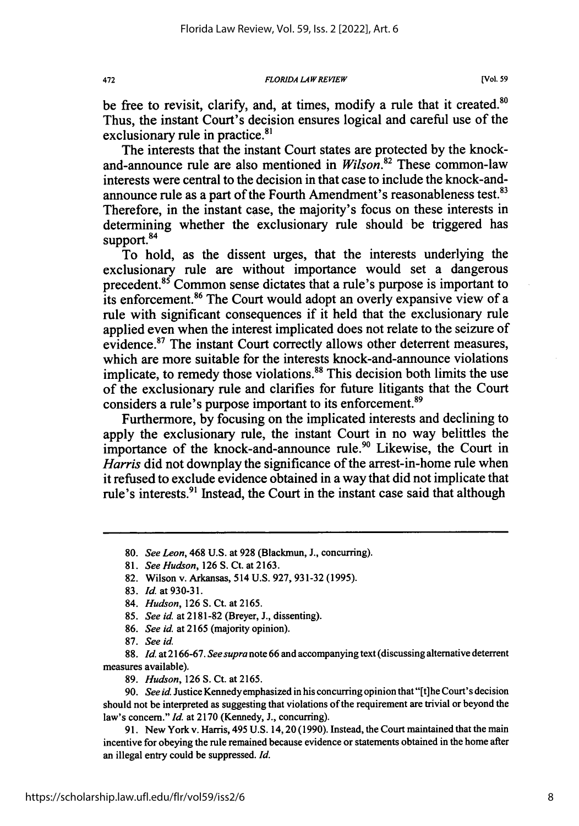**FLORIDA LAW REVIEW**

exclusionary rule in practice.<sup>81</sup> The interests that the instant Court states are protected by the knockand-announce rule are also mentioned in *Wilson.82* These common-law interests were central to the decision in that case to include the knock-andannounce rule as a part of the Fourth Amendment's reasonableness test.<sup>83</sup> Therefore, in the instant case, the majority's focus on these interests in determining whether the exclusionary rule should be triggered has support.<sup>84</sup>

To hold, as the dissent urges, that the interests underlying the exclusionary rule are without importance would set a dangerous precedent.<sup>85</sup> Common sense dictates that a rule's purpose is important to its enforcement.<sup>86</sup> The Court would adopt an overly expansive view of a rule with significant consequences if it held that the exclusionary rule applied even when the interest implicated does not relate to the seizure of evidence.<sup>87</sup> The instant Court correctly allows other deterrent measures, which are more suitable for the interests knock-and-announce violations implicate, to remedy those violations.<sup>88</sup> This decision both limits the use of the exclusionary rule and clarifies for future litigants that the Court considers a rule's purpose important to its enforcement.<sup>89</sup>

Furthermore, by focusing on the implicated interests and declining to apply the exclusionary rule, the instant Court in no way belittles the importance of the knock-and-announce rule.<sup>90</sup> Likewise, the Court in *Harris* did not downplay the significance of the arrest-in-home rule when it refused to exclude evidence obtained in a way that did not implicate that rule's interests.<sup>91</sup> Instead, the Court in the instant case said that although

<sup>80.</sup> *See Leon,* 468 U.S. at 928 (Blackmun, J., concurring).

<sup>81.</sup> *See Hudson,* 126 S. Ct. at 2163.

<sup>82.</sup> Wilson v. Arkansas, 514 U.S. 927, 931-32 (1995).

<sup>83.</sup> *Id.* at 930-31.

<sup>84.</sup> *Hudson,* 126 S. Ct. at 2165.

<sup>85.</sup> *See id.* at 2181-82 (Breyer, J., dissenting).

<sup>86.</sup> *See id.* at 2165 (majority opinion).

<sup>87.</sup> *See id.*

<sup>88.</sup> *Id. at2166-67. Seesupra* note66 and accompanying text(discussing alternative deterrent measures available).

<sup>89.</sup> *Hudson,* 126 S. Ct. at 2165.

<sup>90.</sup> *See id* Justice Kennedyemphasized in his concurring opinion that "[t]he Court's decision should not be interpreted as suggesting that violations of the requirement are trivial or beyond the law's concern." *Id.* at 2170 (Kennedy, **J.,** concurring).

<sup>91.</sup> New York v. Harris, 495 U.S. 14,20 (1990). Instead, the Court maintained that the main incentive for obeying the rule remained because evidence or statements obtained in the home after an illegal entry could be suppressed. *Id.*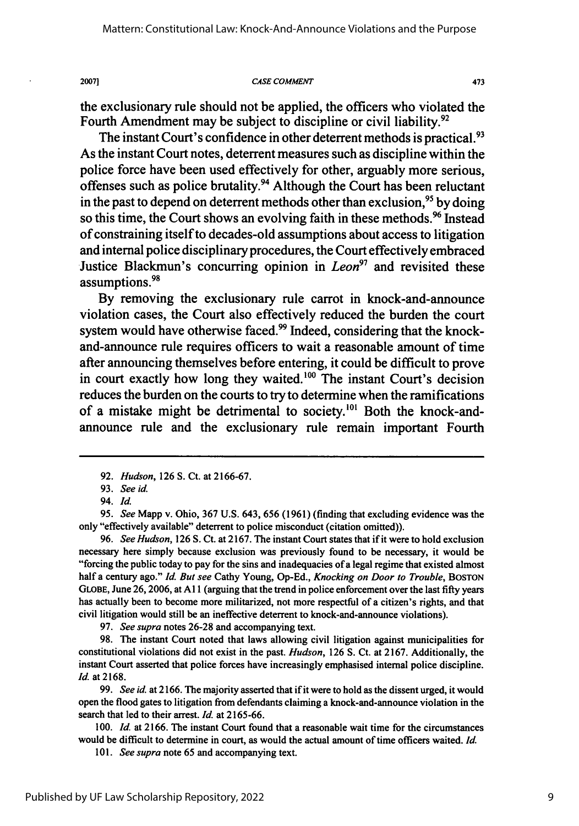2007]

#### **CASE COMMENT**

473

the exclusionary rule should not be applied, the officers who violated the Fourth Amendment may be subject to discipline or civil liability.<sup>92</sup>

The instant Court's confidence in other deterrent methods is practical.<sup>93</sup> As the instant Court notes, deterrent measures such as discipline within the police force have been used effectively for other, arguably more serious, offenses such as police brutality.94 Although the Court has been reluctant in the past to depend on deterrent methods other than exclusion,  $95$  by doing so this time, the Court shows an evolving faith in these methods.<sup>96</sup> Instead of constraining itself to decades-old assumptions about access to litigation and internal police disciplinary procedures, the Court effectively embraced Justice Blackmun's concurring opinion in *Leon97* and revisited these **<sup>98</sup>** assumptions.

**By** removing the exclusionary rule carrot in knock-and-announce violation cases, the Court also effectively reduced the burden the court system would have otherwise faced.<sup>99</sup> Indeed, considering that the knockand-announce rule requires officers to wait a reasonable amount of time after announcing themselves before entering, it could be difficult to prove in court exactly how long they waited.<sup>100</sup> The instant Court's decision reduces the burden on the courts to try to determine when the ramifications of a mistake might be detrimental to society.<sup>101</sup> Both the knock-andannounce rule and the exclusionary rule remain important Fourth

*95. See* Mapp v. Ohio, **367** U.S. 643, 656 **(1961)** (finding that excluding evidence was the only "effectively available" deterrent to police misconduct (citation omitted)).

96. *See Hudson,* **126** S. Ct. at 2167. The instant Court states that if it were to hold exclusion necessary here simply because exclusion was previously found to be necessary, it would be "forcing the public today to pay for the sins and inadequacies of a legal regime that existed almost half a century ago." *Id. But see* Cathy Young, Op-Ed., *Knocking on Door to Trouble,* **BOSTON GLOBE,** June **26, 2006,** at **All** (arguing that the trend in police enforcement over the last **fifty** years has actually been to become more militarized, not more respectful of a citizen's rights, and that civil litigation would still be an ineffective deterrent to knock-and-announce violations).

**97.** *See supra* notes **26-28** and accompanying text.

**98.** The instant Court noted that laws allowing civil litigation against municipalities for constitutional violations did not exist in the past. *Hudson,* **126 S.** Ct. at **2167.** Additionally, the instant Court asserted that police forces have increasingly emphasised internal police discipline. *Id.* at **2168.**

**99.** *See id.* at **2166.** The majority asserted that if it were to hold as the dissent urged, it would open the flood gates to litigation from defendants claiming a knock-and-announce violation in the search that led to their arrest. *Id.* at **2165-66.**

**100.** *Id.* at **2166.** The instant Court found that a reasonable wait time for the circumstances would be difficult to determine in court, as would the actual amount of time officers waited. *Id.*

**101.** *See supra* note **65** and accompanying text.

**<sup>92.</sup>** *Hudson,* **126** S. Ct. at 2166-67.

**<sup>93.</sup>** *See id.*

<sup>94.</sup> Id.